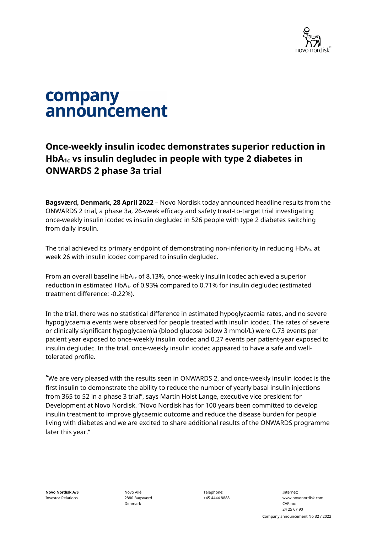

# company announcement

# **Once-weekly insulin icodec demonstrates superior reduction in HbA1c vs insulin degludec in people with type 2 diabetes in ONWARDS 2 phase 3a trial**

**Bagsværd, Denmark, 28 April 2022** – Novo Nordisk today announced headline results from the ONWARDS 2 trial, a phase 3a, 26-week efficacy and safety treat-to-target trial investigating once-weekly insulin icodec vs insulin degludec in 526 people with type 2 diabetes switching from daily insulin.

The trial achieved its primary endpoint of demonstrating non-inferiority in reducing  $HbA_{1c}$  at week 26 with insulin icodec compared to insulin degludec.

From an overall baseline HbA<sub>1c</sub> of 8.13%, once-weekly insulin icodec achieved a superior reduction in estimated  $HbA_{1c}$  of 0.93% compared to 0.71% for insulin degludec (estimated treatment difference: -0.22%).

In the trial, there was no statistical difference in estimated hypoglycaemia rates, and no severe hypoglycaemia events were observed for people treated with insulin icodec. The rates of severe or clinically significant hypoglycaemia (blood glucose below 3 mmol/L) were 0.73 events per patient year exposed to once-weekly insulin icodec and 0.27 events per patient-year exposed to insulin degludec. In the trial, once-weekly insulin icodec appeared to have a safe and welltolerated profile.

"We are very pleased with the results seen in ONWARDS 2, and once-weekly insulin icodec is the first insulin to demonstrate the ability to reduce the number of yearly basal insulin injections from 365 to 52 in a phase 3 trial", says Martin Holst Lange, executive vice president for Development at Novo Nordisk. "Novo Nordisk has for 100 years been committed to develop insulin treatment to improve glycaemic outcome and reduce the disease burden for people living with diabetes and we are excited to share additional results of the ONWARDS programme later this year."

**Novo Nordisk A/S** Investor Relations

Novo Allé 2880 Bagsværd Denmark

Telephone: +45 4444 8888

Internet: www.novonordisk.com CVR no: 24 25 67 90 Company announcement No 32 / 2022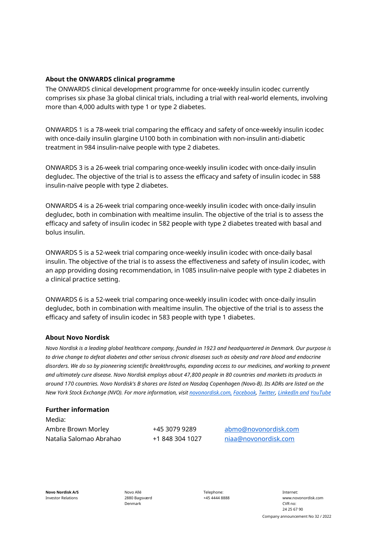## **About the ONWARDS clinical programme**

The ONWARDS clinical development programme for once-weekly insulin icodec currently comprises six phase 3a global clinical trials, including a trial with real-world elements, involving more than 4,000 adults with type 1 or type 2 diabetes.

ONWARDS 1 is a 78-week trial comparing the efficacy and safety of once-weekly insulin icodec with once-daily insulin glargine U100 both in combination with non-insulin anti-diabetic treatment in 984 insulin-naïve people with type 2 diabetes.

ONWARDS 3 is a 26-week trial comparing once-weekly insulin icodec with once-daily insulin degludec. The objective of the trial is to assess the efficacy and safety of insulin icodec in 588 insulin-naïve people with type 2 diabetes.

ONWARDS 4 is a 26-week trial comparing once-weekly insulin icodec with once-daily insulin degludec, both in combination with mealtime insulin. The objective of the trial is to assess the efficacy and safety of insulin icodec in 582 people with type 2 diabetes treated with basal and bolus insulin.

ONWARDS 5 is a 52-week trial comparing once-weekly insulin icodec with once-daily basal insulin. The objective of the trial is to assess the effectiveness and safety of insulin icodec, with an app providing dosing recommendation, in 1085 insulin-naïve people with type 2 diabetes in a clinical practice setting.

ONWARDS 6 is a 52-week trial comparing once-weekly insulin icodec with once-daily insulin degludec, both in combination with mealtime insulin. The objective of the trial is to assess the efficacy and safety of insulin icodec in 583 people with type 1 diabetes.

### **About Novo Nordisk**

*Novo Nordisk is a leading global healthcare company, founded in 1923 and headquartered in Denmark. Our purpose is to drive change to defeat diabetes and other serious chronic diseases such as obesity and rare blood and endocrine disorders. We do so by pioneering scientific breakthroughs, expanding access to our medicines, and working to prevent and ultimately cure disease. Novo Nordisk employs about 47,800 people in 80 countries and markets its products in around 170 countries. Novo Nordisk's B shares are listed on Nasdaq Copenhagen (Novo-B). Its ADRs are listed on the New York Stock Exchange (NVO). For more information, visi[t novonordisk.com,](http://www.novonordisk.com/) [Facebook,](http://www.facebook.com/novonordisk) [Twitter,](http://www.twitter.com/novonordisk) [LinkedIn](http://www.linkedin.com/company/novo-nordisk) and [YouTube](http://www.youtube.com/novonordisk)*

### **Further information**

Media: Ambre Brown Morley +45 3079 9289 [abmo@novonordisk.com](mailto:abmo@novonordisk.com) Natalia Salomao Abrahao +1 848 304 1027 [niaa@novonordisk.com](mailto:niaa@novonordisk.com)

Novo Allé 2880 Bagsværd Denmark

Telephone: +45 4444 8888

Internet: www.novonordisk.com CVR no: 24 25 67 90 Company announcement No 32 / 2022